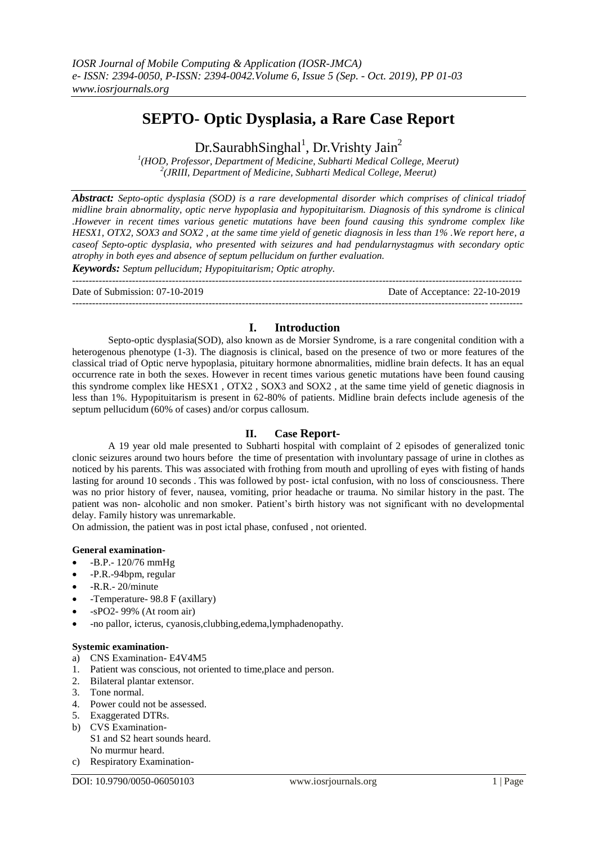# **SEPTO- Optic Dysplasia, a Rare Case Report**

Dr.SaurabhSinghal<sup>1</sup>, Dr.Vrishty Jain<sup>2</sup>

*1 (HOD, Professor, Department of Medicine, Subharti Medical College, Meerut) 2 (JRIII, Department of Medicine, Subharti Medical College, Meerut)*

*Abstract: Septo-optic dysplasia (SOD) is a rare developmental disorder which comprises of clinical triadof midline brain abnormality, optic nerve hypoplasia and hypopituitarism. Diagnosis of this syndrome is clinical .However in recent times various genetic mutations have been found causing this syndrome complex like HESX1, OTX2, SOX3 and SOX2 , at the same time yield of genetic diagnosis in less than 1% .We report here, a caseof Septo-optic dysplasia, who presented with seizures and had pendularnystagmus with secondary optic atrophy in both eyes and absence of septum pellucidum on further evaluation. Keywords: Septum pellucidum; Hypopituitarism; Optic atrophy.*

--------------------------------------------------------------------------------------------------------------------------------------- Date of Submission: 07-10-2019 Date of Acceptance: 22-10-2019 ---------------------------------------------------------------------------------------------------------------------------------------

# **I. Introduction**

Septo-optic dysplasia(SOD), also known as de Morsier Syndrome, is a rare congenital condition with a heterogenous phenotype (1-3). The diagnosis is clinical, based on the presence of two or more features of the classical triad of Optic nerve hypoplasia, pituitary hormone abnormalities, midline brain defects. It has an equal occurrence rate in both the sexes. However in recent times various genetic mutations have been found causing this syndrome complex like HESX1 , OTX2 , SOX3 and SOX2 , at the same time yield of genetic diagnosis in less than 1%. Hypopituitarism is present in 62-80% of patients. Midline brain defects include agenesis of the septum pellucidum (60% of cases) and/or corpus callosum.

## **II. Case Report-**

A 19 year old male presented to Subharti hospital with complaint of 2 episodes of generalized tonic clonic seizures around two hours before the time of presentation with involuntary passage of urine in clothes as noticed by his parents. This was associated with frothing from mouth and uprolling of eyes with fisting of hands lasting for around 10 seconds . This was followed by post- ictal confusion, with no loss of consciousness. There was no prior history of fever, nausea, vomiting, prior headache or trauma. No similar history in the past. The patient was non- alcoholic and non smoker. Patient's birth history was not significant with no developmental delay. Family history was unremarkable.

On admission, the patient was in post ictal phase, confused , not oriented.

## **General examination-**

- -B.P.- 120/76 mmHg
- -P.R.-94bpm, regular
- -R.R.- 20/minute
- -Temperature- 98.8 F (axillary)
- -sPO2- 99% (At room air)
- -no pallor, icterus, cyanosis,clubbing,edema,lymphadenopathy.

#### **Systemic examination-**

- a) CNS Examination- E4V4M5
- 1. Patient was conscious, not oriented to time,place and person.
- 2. Bilateral plantar extensor.
- 3. Tone normal.
- 4. Power could not be assessed.
- 5. Exaggerated DTRs.
- b) CVS Examination-S1 and S2 heart sounds heard. No murmur heard.
- c) Respiratory Examination-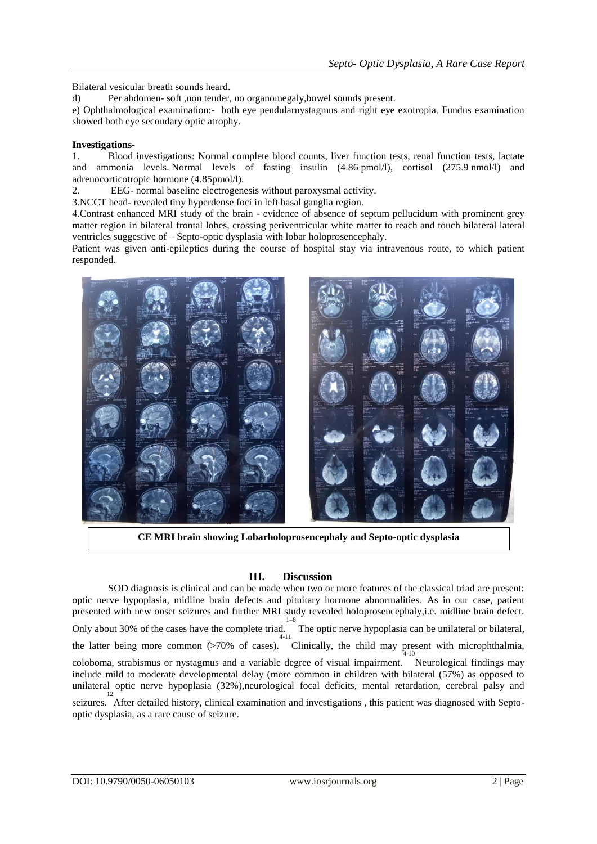Bilateral vesicular breath sounds heard.

d) Per abdomen- soft ,non tender, no organomegaly,bowel sounds present.

e) Ophthalmological examination:- both eye pendularnystagmus and right eye exotropia. Fundus examination showed both eye secondary optic atrophy.

## **Investigations-**

1. Blood investigations: Normal complete blood counts, liver function tests, renal function tests, lactate and ammonia levels. Normal levels of fasting insulin (4.86 pmol/l), cortisol (275.9 nmol/l) and adrenocorticotropic hormone (4.85pmol/l).

2. EEG- normal baseline electrogenesis without paroxysmal activity.

3.NCCT head- revealed tiny hyperdense foci in left basal ganglia region.

4.Contrast enhanced MRI study of the brain - evidence of absence of septum pellucidum with prominent grey matter region in bilateral frontal lobes, crossing periventricular white matter to reach and touch bilateral lateral ventricles suggestive of – Septo-optic dysplasia with lobar holoprosencephaly.

Patient was given anti-epileptics during the course of hospital stay via intravenous route, to which patient responded.



**CE MRI brain showing Lobarholoprosencephaly and Septo-optic dysplasia** 

## **III. Discussion**

SOD diagnosis is clinical and can be made when two or more features of the classical triad are present: optic nerve hypoplasia, midline brain defects and pituitary hormone abnormalities. As in our case, patient presented with new onset seizures and further MRI study revealed holoprosencephaly,i.e. midline brain defect. Only about 30% of the cases have the complete triad. The optic nerve hypoplasia can be unilateral or bilateral, the latter being more common (>70% of cases). Clinically, the child may present with microphthalmia, coloboma, strabismus or nystagmus and a variable degree of visual impairment. Neurological findings may include mild to moderate developmental delay (more common in children with bilateral (57%) as opposed to unilateral optic nerve hypoplasia (32%), neurological focal deficits, mental retardation, cerebral palsy and 12

seizures. After detailed history, clinical examination and investigations , this patient was diagnosed with Septooptic dysplasia, as a rare cause of seizure.